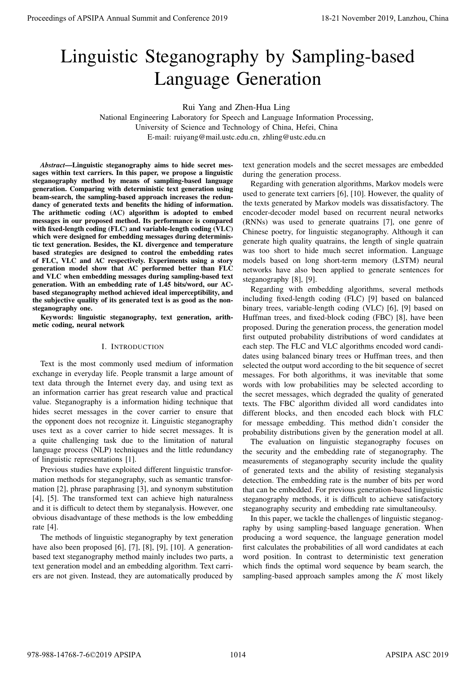# Linguistic Steganography by Sampling-based Language Generation

Rui Yang and Zhen-Hua Ling

National Engineering Laboratory for Speech and Language Information Processing, University of Science and Technology of China, Hefei, China E-mail: ruiyang@mail.ustc.edu.cn, zhling@ustc.edu.cn

*Abstract*—Linguistic steganography aims to hide secret messages within text carriers. In this paper, we propose a linguistic steganography method by means of sampling-based language generation. Comparing with deterministic text generation using beam-search, the sampling-based approach increases the redundancy of generated texts and benefits the hiding of information. The arithmetic coding (AC) algorithm is adopted to embed messages in our proposed method. Its performance is compared with fixed-length coding (FLC) and variable-length coding (VLC) which were designed for embedding messages during deterministic text generation. Besides, the KL divergence and temperature based strategies are designed to control the embedding rates of FLC, VLC and AC respectively. Experiments using a story generation model show that AC performed better than FLC and VLC when embedding messages during sampling-based text generation. With an embedding rate of 1.45 bits/word, our ACbased steganography method achieved ideal imperceptibility, and the subjective quality of its generated text is as good as the nonsteganography one. **Procedure of APSIPA Annual Summidian (Eurispan XIII)**<br> **Linguistic Stegannography by Sampling-based and Conference 2019**<br> **Linguistic Stegannography by Sampling-based and Conference 2019**<br> **Vanual Euristics Stegannograph** 

Keywords: linguistic steganography, text generation, arithmetic coding, neural network

# I. INTRODUCTION

Text is the most commonly used medium of information exchange in everyday life. People transmit a large amount of text data through the Internet every day, and using text as an information carrier has great research value and practical value. Steganography is a information hiding technique that hides secret messages in the cover carrier to ensure that the opponent does not recognize it. Linguistic steganography uses text as a cover carrier to hide secret messages. It is a quite challenging task due to the limitation of natural language process (NLP) techniques and the little redundancy of linguistic representations [1].

Previous studies have exploited different linguistic transformation methods for steganography, such as semantic transformation [2], phrase paraphrasing [3], and synonym substitution [4], [5]. The transformed text can achieve high naturalness and it is difficult to detect them by steganalysis. However, one obvious disadvantage of these methods is the low embedding rate [4].

The methods of linguistic steganography by text generation have also been proposed [6], [7], [8], [9], [10]. A generationbased text steganography method mainly includes two parts, a text generation model and an embedding algorithm. Text carriers are not given. Instead, they are automatically produced by

text generation models and the secret messages are embedded during the generation process.

Regarding with generation algorithms, Markov models were used to generate text carriers [6], [10]. However, the quality of the texts generated by Markov models was dissatisfactory. The encoder-decoder model based on recurrent neural networks (RNNs) was used to generate quatrains [7], one genre of Chinese poetry, for linguistic steganography. Although it can generate high quality quatrains, the length of single quatrain was too short to hide much secret information. Language models based on long short-term memory (LSTM) neural networks have also been applied to generate sentences for steganography [8], [9].

Regarding with embedding algorithms, several methods including fixed-length coding (FLC) [9] based on balanced binary trees, variable-length coding (VLC) [6], [9] based on Huffman trees, and fixed-block coding (FBC) [8], have been proposed. During the generation process, the generation model first outputed probability distributions of word candidates at each step. The FLC and VLC algorithms encoded word candidates using balanced binary trees or Huffman trees, and then selected the output word according to the bit sequence of secret messages. For both algorithms, it was inevitable that some words with low probabilities may be selected according to the secret messages, which degraded the quality of generated texts. The FBC algorithm divided all word candidates into different blocks, and then encoded each block with FLC for message embedding. This method didn't consider the probability distributions given by the generation model at all.

The evaluation on linguistic steganography focuses on the security and the embedding rate of steganography. The measurements of steganography security include the quality of generated texts and the ability of resisting steganalysis detection. The embedding rate is the number of bits per word that can be embedded. For previous generation-based linguistic steganography methods, it is difficult to achieve satisfactory steganography security and embedding rate simultaneoulsy.

In this paper, we tackle the challenges of linguistic steganography by using sampling-based language generation. When producing a word sequence, the language generation model first calculates the probabilities of all word candidates at each word position. In contrast to deterministic text generation which finds the optimal word sequence by beam search, the sampling-based approach samples among the  $K$  most likely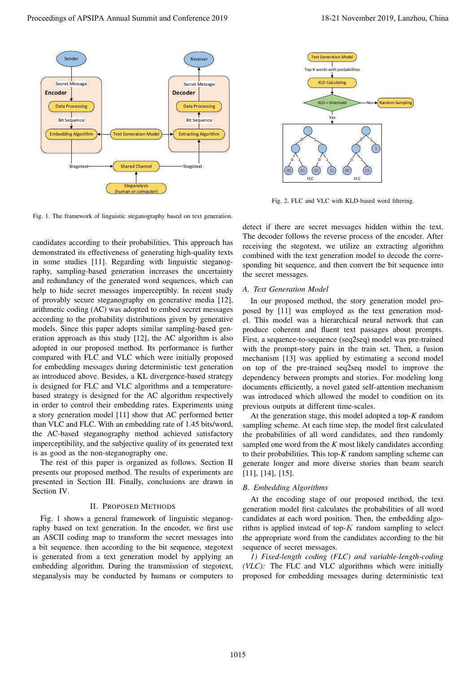

Fig. 1. The framework of linguistic steganography based on text generation.

candidates according to their probabilities. This approach has demonstrated its effectiveness of generating high-quality texts in some studies [11]. Regarding with linguistic steganography, sampling-based generation increases the uncertainty and redundancy of the generated word sequences, which can help to hide secret messages imperceptibly. In recent study of provably secure steganography on generative media [12], arithmetic coding (AC) was adopted to embed secret messages according to the probability distributions given by generative models. Since this paper adopts similar sampling-based generation approach as this study [12], the AC algorithm is also adopted in our proposed method. Its performance is further compared with FLC and VLC which were initially proposed for embedding messages during deterministic text generation as introduced above. Besides, a KL divergence-based strategy is designed for FLC and VLC algorithms and a temperaturebased strategy is designed for the AC algorithm respectively in order to control their embedding rates. Experiments using a story generation model [11] show that AC performed better than VLC and FLC. With an embedding rate of 1.45 bits/word, the AC-based steganography method achieved satisfactory imperceptibility, and the subjective quality of its generated text is as good as the non-steganography one. **Proceedings of APSIPA Annual Summit and Conference 2019**<br> **Proceedings of APSIPA Annual Summit and Conference 2019**<br> **Proceedings of APSIPA Annual Summit and Conference 2019**<br> **Proceeding and Conference 2019**<br> **Proceedin** 

The rest of this paper is organized as follows. Section II presents our proposed method. The results of experiments are presented in Section III. Finally, conclusions are drawn in Section IV.

### II. PROPOSED METHODS

Fig. 1 shows a general framework of linguistic steganography based on text generation. In the encoder, we first use an ASCII coding map to transform the secret messages into a bit sequence. then according to the bit sequence, stegotext is generated from a text generation model by applying an embedding algorithm. During the transmission of stegotext, steganalysis may be conducted by humans or computers to



Fig. 2. FLC and VLC with KLD-based word filtering.

detect if there are secret messages hidden within the text. The decoder follows the reverse process of the encoder. After receiving the stegotext, we utilize an extracting algorithm combined with the text generation model to decode the corresponding bit sequence, and then convert the bit sequence into the secret messages.

#### *A. Text Generation Model*

In our proposed method, the story generation model proposed by [11] was employed as the text generation model. This model was a hierarchical neural network that can produce coherent and fluent text passages about prompts. First, a sequence-to-sequence (seq2seq) model was pre-trained with the prompt-story pairs in the train set. Then, a fusion mechanism [13] was applied by estimating a second model on top of the pre-trained seq2seq model to improve the dependency between prompts and stories. For modeling long documents efficiently, a novel gated self-attention mechanism was introduced which allowed the model to condition on its previous outputs at different time-scales.

At the generation stage, this model adopted a top-*K* random sampling scheme. At each time step, the model first calculated the probabilities of all word candidates, and then randomly sampled one word from the *K* most likely candidates according to their probabilities. This top-*K* random sampling scheme can generate longer and more diverse stories than beam search [11], [14], [15].

# *B. Embedding Algorithms*

At the encoding stage of our proposed method, the text generation model first calculates the probabilities of all word candidates at each word position. Then, the embedding algorithm is applied instead of top- $K$  random sampling to select the appropriate word from the candidates according to the bit sequence of secret messages.

*1) Fixed-length coding (FLC) and variable-length-coding (VLC):* The FLC and VLC algorithms which were initially proposed for embedding messages during deterministic text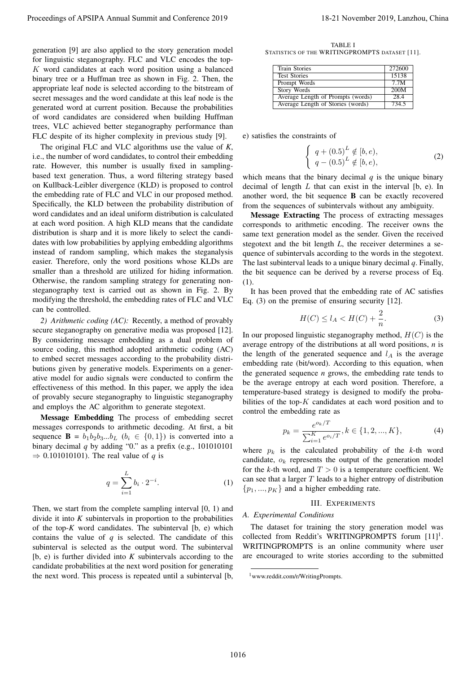generation [9] are also applied to the story generation model for linguistic steganography. FLC and VLC encodes the top-K word candidates at each word position using a balanced binary tree or a Huffman tree as shown in Fig. 2. Then, the appropriate leaf node is selected according to the bitstream of secret messages and the word candidate at this leaf node is the generated word at current position. Because the probabilities of word candidates are considered when building Huffman trees, VLC achieved better steganography performance than FLC despite of its higher complexity in previous study [9].

The original FLC and VLC algorithms use the value of *K*, i.e., the number of word candidates, to control their embedding rate. However, this number is usually fixed in samplingbased text generation. Thus, a word filtering strategy based on Kullback-Leibler divergence (KLD) is proposed to control the embedding rate of FLC and VLC in our proposed method. Specifically, the KLD between the probability distribution of word candidates and an ideal uniform distribution is calculated at each word position. A high KLD means that the candidate distribution is sharp and it is more likely to select the candidates with low probabilities by applying embedding algorithms instead of random sampling, which makes the steganalysis easier. Therefore, only the word positions whose KLDs are smaller than a threshold are utilized for hiding information. Otherwise, the random sampling strategy for generating nonsteganography text is carried out as shown in Fig. 2. By modifying the threshold, the embedding rates of FLC and VLC can be controlled. Proceedings of APSIPA Annual Summit at Conference 2019<br>
Lemmann and Conference 2019 18-21 November 2019<br>
Lemmann and Conference 2019 18-21 November 2019<br>
Lemmann and Conference 2019 18-21 November 2019<br>
Lemmann and Confer

*2) Arithmetic coding (AC):* Recently, a method of provably secure steganography on generative media was proposed [12]. By considering message embedding as a dual problem of source coding, this method adopted arithmetic coding (AC) to embed secret messages according to the probability distributions given by generative models. Experiments on a generative model for audio signals were conducted to confirm the effectiveness of this method. In this paper, we apply the idea of provably secure steganography to linguistic steganography and employs the AC algorithm to generate stegotext.

Message Embedding The process of embedding secret messages corresponds to arithmetic decoding. At first, a bit sequence  $\mathbf{B} = b_1b_2b_3...b_L$  ( $b_i \in \{0,1\}$ ) is converted into a binary decimal *q* by adding "0." as a prefix (e.g., 101010101  $\Rightarrow$  0.101010101). The real value of *q* is

$$
q = \sum_{i=1}^{L} b_i \cdot 2^{-i}.
$$
 (1)

Then, we start from the complete sampling interval [0, 1) and divide it into *K* subintervals in proportion to the probabilities of the top-*K* word candidates. The subinterval [b, e) which contains the value of  $q$  is selected. The candidate of this subinterval is selected as the output word. The subinterval [b, e) is further divided into *K* subintervals according to the candidate probabilities at the next word position for generating the next word. This process is repeated until a subinterval [b,

TABLE I STATISTICS OF THE WRITINGPROMPTS DATASET [11].

| <b>Train Stories</b>              | 272600 |
|-----------------------------------|--------|
| <b>Test Stories</b>               | 15138  |
| Prompt Words                      | 7.7M   |
| <b>Story Words</b>                | 200M   |
| Average Length of Prompts (words) | 28.4   |
| Average Length of Stories (words) | 734.5  |

e) satisfies the constraints of

$$
\begin{cases} q + (0.5)^L \notin [b, e), \\ q - (0.5)^L \notin [b, e), \end{cases}
$$
 (2)

which means that the binary decimal  $q$  is the unique binary decimal of length  $L$  that can exist in the interval  $[b, e)$ . In another word, the bit sequence B can be exactly recovered from the sequences of subintervals without any ambiguity.

Message Extracting The process of extracting messages corresponds to arithmetic encoding. The receiver owns the same text generation model as the sender. Given the received stegotext and the bit length *L*, the receiver determines a sequence of subintervals according to the words in the stegotext. The last subinterval leads to a unique binary decimal *q*. Finally, the bit sequence can be derived by a reverse process of Eq. (1).

It has been proved that the embedding rate of AC satisfies Eq. (3) on the premise of ensuring security [12].

$$
H(C) \le l_A < H(C) + \frac{2}{n}.\tag{3}
$$

In our proposed linguistic steganography method,  $H(C)$  is the average entropy of the distributions at all word positions, *n* is the length of the generated sequence and  $l_A$  is the average embedding rate (bit/word). According to this equation, when the generated sequence *n* grows, the embedding rate tends to be the average entropy at each word position. Therefore, a temperature-based strategy is designed to modify the probabilities of the top- $K$  candidates at each word position and to control the embedding rate as

$$
p_k = \frac{e^{o_k/T}}{\sum_{i=1}^K e^{o_i/T}}, k \in \{1, 2, ..., K\},\tag{4}
$$

where  $p_k$  is the calculated probability of the  $k$ -th word candidate,  $o_k$  represents the output of the generation model for the *k*-th word, and  $T > 0$  is a temperature coefficient. We can see that a larger  $T$  leads to a higher entropy of distribution  $\{p_1, ..., p_K\}$  and a higher embedding rate.

# III. EXPERIMENTS

# *A. Experimental Conditions*

The dataset for training the story generation model was collected from Reddit's WRITINGPROMPTS forum [11]<sup>1</sup>. WRITINGPROMPTS is an online community where user are encouraged to write stories according to the submitted

<sup>1</sup>www.reddit.com/r/WritingPrompts.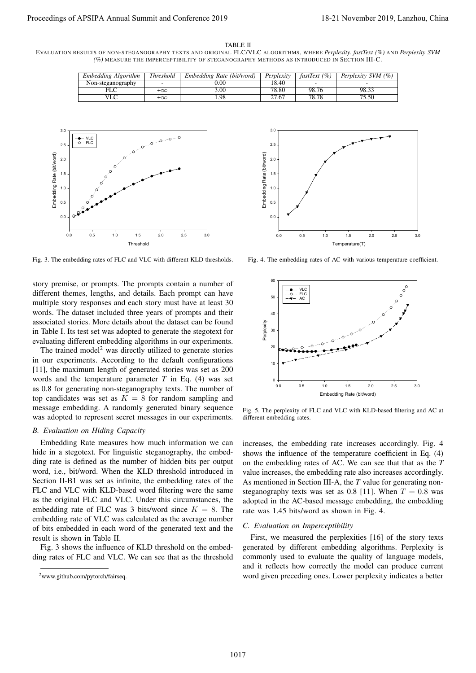## TABLE II

EVALUATION RESULTS OF NON-STEGANOGRAPHY TEXTS AND ORIGINAL FLC/VLC ALGORITHMS, WHERE *Perplexity*, *fastText (%)* AND *Perplexity SVM (%)* MEASURE THE IMPERCEPTIBILITY OF STEGANOGRAPHY METHODS AS INTRODUCED IN SECTION III-C.

| Embedding Algorithm | <b>Threshold</b> | Embedding Rate (bit/word) | Perplexity | (%)<br>fastText t        | Perplexity SVM (%) |
|---------------------|------------------|---------------------------|------------|--------------------------|--------------------|
| Non-steganography   |                  | .00                       | 18.40      | $\overline{\phantom{a}}$ |                    |
|                     | $+\infty$        | 3.00                      | 78.80      | 98.76                    | 98.3.              |
|                     | $+\infty$        |                           |            | 70<br>78.7C              | 5.50               |



Fig. 3. The embedding rates of FLC and VLC with different KLD thresholds.

story premise, or prompts. The prompts contain a number of different themes, lengths, and details. Each prompt can have multiple story responses and each story must have at least 30 words. The dataset included three years of prompts and their associated stories. More details about the dataset can be found in Table I. Its test set was adopted to generate the stegotext for evaluating different embedding algorithms in our experiments.

The trained model<sup>2</sup> was directly utilized to generate stories in our experiments. According to the default configurations [11], the maximum length of generated stories was set as 200 words and the temperature parameter *T* in Eq. (4) was set as 0.8 for generating non-steganography texts. The number of top candidates was set as  $K = 8$  for random sampling and message embedding. A randomly generated binary sequence was adopted to represent secret messages in our experiments.

### *B. Evaluation on Hiding Capacity*

Embedding Rate measures how much information we can hide in a stegotext. For linguistic steganography, the embedding rate is defined as the number of hidden bits per output word, i.e., bit/word. When the KLD threshold introduced in Section II-B1 was set as infinite, the embedding rates of the FLC and VLC with KLD-based word filtering were the same as the original FLC and VLC. Under this circumstances, the embedding rate of FLC was 3 bits/word since  $K = 8$ . The embedding rate of VLC was calculated as the average number of bits embedded in each word of the generated text and the result is shown in Table II.

Fig. 3 shows the influence of KLD threshold on the embedding rates of FLC and VLC. We can see that as the threshold

<sup>2</sup>[www.github.com/pytorch/fairseq.](www.github.com/pytorch/fairseq)



Fig. 4. The embedding rates of AC with various temperature coefficient.



Fig. 5. The perplexity of FLC and VLC with KLD-based filtering and AC at different embedding rates.

increases, the embedding rate increases accordingly. Fig. 4 shows the influence of the temperature coefficient in Eq. (4) on the embedding rates of AC. We can see that that as the *T* value increases, the embedding rate also increases accordingly. As mentioned in Section III-A, the *T* value for generating nonsteganography texts was set as 0.8 [11]. When  $T = 0.8$  was adopted in the AC-based message embedding, the embedding rate was 1.45 bits/word as shown in Fig. 4.

# *C. Evaluation on Imperceptibility*

First, we measured the perplexities [16] of the story texts generated by different embedding algorithms. Perplexity is commonly used to evaluate the quality of language models, and it reflects how correctly the model can produce current word given preceding ones. Lower perplexity indicates a better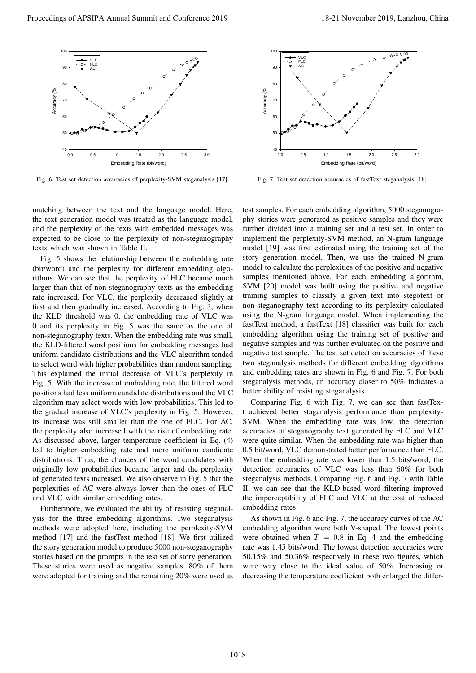

Fig. 6. Test set detection accuracies of perplexity-SVM steganalysis [17].

matching between the text and the language model. Here, the text generation model was treated as the language model, and the perplexity of the texts with embedded messages was expected to be close to the perplexity of non-steganography texts which was shown in Table II.

Fig. 5 shows the relationship between the embedding rate (bit/word) and the perplexity for different embedding algorithms. We can see that the perplexity of FLC became much larger than that of non-steganography texts as the embedding rate increased. For VLC, the perplexity decreased slightly at first and then gradually increased. According to Fig. 3, when the KLD threshold was 0, the embedding rate of VLC was 0 and its perplexity in Fig. 5 was the same as the one of non-steganography texts. When the embedding rate was small, the KLD-filtered word positions for embedding messages had uniform candidate distributions and the VLC algorithm tended to select word with higher probabilities than random sampling. This explained the initial decrease of VLC's perplexity in Fig. 5. With the increase of embedding rate, the filtered word positions had less uniform candidate distributions and the VLC algorithm may select words with low probabilities. This led to the gradual increase of VLC's perplexity in Fig. 5. However, its increase was still smaller than the one of FLC. For AC, the perplexity also increased with the rise of embedding rate. As discussed above, larger temperature coefficient in Eq. (4) led to higher embedding rate and more uniform candidate distributions. Thus, the chances of the word candidates with originally low probabilities became larger and the perplexity of generated texts increased. We also observe in Fig. 5 that the perplexities of AC were always lower than the ones of FLC and VLC with similar embedding rates. Proceeding of APSIPA Annual Summit and Conference 2019<br>
Proceedings of APSIPA Annual Summit and Conference 2019<br>
Proceedings of APSIPA Annual Summit and Conference 2019<br>
Proceeding and Conference 2019, Lanzhou, China 2019

Furthermore, we evaluated the ability of resisting steganalysis for the three embedding algorithms. Two steganalysis methods were adopted here, including the perplexity-SVM method [17] and the fastText method [18]. We first utilized the story generation model to produce 5000 non-steganography stories based on the prompts in the test set of story generation. These stories were used as negative samples. 80% of them were adopted for training and the remaining 20% were used as



Fig. 7. Test set detection accuracies of fastText steganalysis [18].

test samples. For each embedding algorithm, 5000 steganography stories were generated as positive samples and they were further divided into a training set and a test set. In order to implement the perplexity-SVM method, an N-gram language model [19] was first estimated using the training set of the story generation model. Then, we use the trained N-gram model to calculate the perplexities of the positive and negative samples mentioned above. For each embedding algorithm, SVM [20] model was built using the positive and negative training samples to classify a given text into stegotext or non-steganography text according to its perplexity calculated using the N-gram language model. When implementing the fastText method, a fastText [18] classifier was built for each embedding algorithm using the training set of positive and negative samples and was further evaluated on the positive and negative test sample. The test set detection accuracies of these two steganalysis methods for different embedding algorithms and embedding rates are shown in Fig. 6 and Fig. 7. For both steganalysis methods, an accuracy closer to 50% indicates a better ability of resisting steganalysis.

Comparing Fig. 6 with Fig. 7, we can see than fastText achieved better staganalysis performance than perplexity-SVM. When the embedding rate was low, the detection accuracies of steganography text generated by FLC and VLC were quite similar. When the embedding rate was higher than 0.5 bit/word, VLC demonstrated better performance than FLC. When the embedding rate was lower than 1.5 bits/word, the detection accuracies of VLC was less than 60% for both steganalysis methods. Comparing Fig. 6 and Fig. 7 with Table II, we can see that the KLD-based word filtering improved the imperceptibility of FLC and VLC at the cost of reduced embedding rates.

As shown in Fig. 6 and Fig. 7, the accuracy curves of the AC embedding algorithm were both V-shaped. The lowest points were obtained when  $T = 0.8$  in Eq. 4 and the embedding rate was 1.45 bits/word. The lowest detection accuracies were 50.15% and 50.36% respectively in these two figures, which were very close to the ideal value of 50%. Increasing or decreasing the temperature coefficient both enlarged the differ-